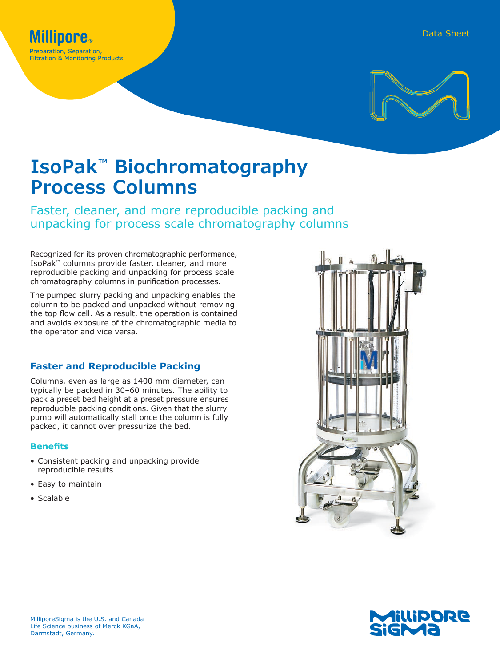

# **IsoPak™ Biochromatography Process Columns**

Faster, cleaner, and more reproducible packing and unpacking for process scale chromatography columns

Recognized for its proven chromatographic performance, IsoPak™ columns provide faster, cleaner, and more reproducible packing and unpacking for process scale chromatography columns in purification processes.

The pumped slurry packing and unpacking enables the column to be packed and unpacked without removing the top flow cell. As a result, the operation is contained and avoids exposure of the chromatographic media to the operator and vice versa.

#### **Faster and Reproducible Packing**

Columns, even as large as 1400 mm diameter, can typically be packed in 30–60 minutes. The ability to pack a preset bed height at a preset pressure ensures reproducible packing conditions. Given that the slurry pump will automatically stall once the column is fully packed, it cannot over pressurize the bed.

#### **Benefits**

- Consistent packing and unpacking provide reproducible results
- Easy to maintain
- Scalable



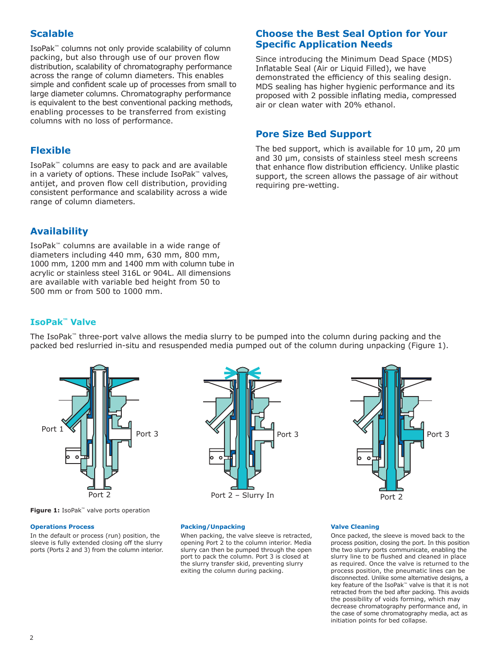# **Scalable**

IsoPak™ columns not only provide scalability of column packing, but also through use of our proven flow distribution, scalability of chromatography performance across the range of column diameters. This enables simple and confident scale up of processes from small to large diameter columns. Chromatography performance is equivalent to the best conventional packing methods, enabling processes to be transferred from existing columns with no loss of performance.

# **Flexible**

IsoPak™ columns are easy to pack and are available in a variety of options. These include IsoPak™ valves, antijet, and proven flow cell distribution, providing consistent performance and scalability across a wide range of column diameters.

# **Availability**

IsoPak™ columns are available in a wide range of diameters including 440 mm, 630 mm, 800 mm, 1000 mm, 1200 mm and 1400 mm with column tube in acrylic or stainless steel 316L or 904L. All dimensions are available with variable bed height from 50 to 500 mm or from 500 to 1000 mm.

#### **Choose the Best Seal Option for Your Specific Application Needs**

Since introducing the Minimum Dead Space (MDS) Inflatable Seal (Air or Liquid Filled), we have demonstrated the efficiency of this sealing design. MDS sealing has higher hygienic performance and its proposed with 2 possible inflating media, compressed air or clean water with 20% ethanol.

# **Pore Size Bed Support**

The bed support, which is available for 10 μm, 20 μm and 30 μm, consists of stainless steel mesh screens that enhance flow distribution efficiency. Unlike plastic support, the screen allows the passage of air without requiring pre-wetting.

# **IsoPak™ Valve**

The IsoPak™ three-port valve allows the media slurry to be pumped into the column during packing and the packed bed reslurried in-situ and resuspended media pumped out of the column during unpacking (Figure 1).







**Figure 1:** IsoPak™ valve ports operation

#### **Operations Process**

In the default or process (run) position, the sleeve is fully extended closing off the slurry ports (Ports 2 and 3) from the column interior.

#### **Packing/Unpacking**

When packing, the valve sleeve is retracted, opening Port 2 to the column interior. Media slurry can then be pumped through the open port to pack the column. Port 3 is closed at the slurry transfer skid, preventing slurry exiting the column during packing.

#### **Valve Cleaning**

Once packed, the sleeve is moved back to the process position, closing the port. In this position the two slurry ports communicate, enabling the slurry line to be flushed and cleaned in place as required. Once the valve is returned to the process position, the pneumatic lines can be disconnected. Unlike some alternative designs, a key feature of the IsoPak™ valve is that it is not retracted from the bed after packing. This avoids the possibility of voids forming, which may decrease chromatography performance and, in the case of some chromatography media, act as initiation points for bed collapse.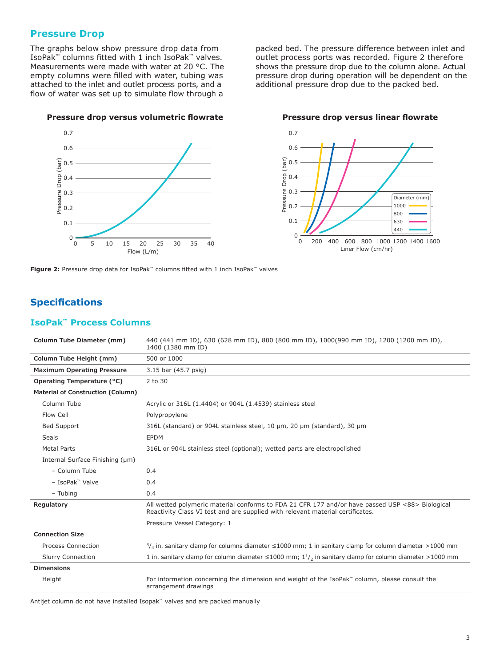#### **Pressure Drop**

The graphs below show pressure drop data from IsoPak™ columns fitted with 1 inch IsoPak™ valves. Measurements were made with water at 20 °C. The empty columns were filled with water, tubing was attached to the inlet and outlet process ports, and a flow of water was set up to simulate flow through a

packed bed. The pressure difference between inlet and outlet process ports was recorded. Figure 2 therefore shows the pressure drop due to the column alone. Actual pressure drop during operation will be dependent on the additional pressure drop due to the packed bed.

#### **Pressure drop versus volumetric flowrate Pressure drop versus linear flowrate**





**Figure 2:** Pressure drop data for IsoPak™ columns fitted with 1 inch IsoPak™ valves

# **Specifications**

#### **IsoPak™ Process Columns**

| Column Tube Diameter (mm)         | 440 (441 mm ID), 630 (628 mm ID), 800 (800 mm ID), 1000(990 mm ID), 1200 (1200 mm ID),<br>1400 (1380 mm ID)                                                                       |
|-----------------------------------|-----------------------------------------------------------------------------------------------------------------------------------------------------------------------------------|
| Column Tube Height (mm)           | 500 or 1000                                                                                                                                                                       |
| <b>Maximum Operating Pressure</b> | 3.15 bar (45.7 psig)                                                                                                                                                              |
| Operating Temperature (°C)        | 2 to 30                                                                                                                                                                           |
| Material of Construction (Column) |                                                                                                                                                                                   |
| Column Tube                       | Acrylic or 316L (1.4404) or 904L (1.4539) stainless steel                                                                                                                         |
| Flow Cell                         | Polypropylene                                                                                                                                                                     |
| <b>Bed Support</b>                | 316L (standard) or 904L stainless steel, 10 µm, 20 µm (standard), 30 µm                                                                                                           |
| Seals                             | <b>EPDM</b>                                                                                                                                                                       |
| <b>Metal Parts</b>                | 316L or 904L stainless steel (optional); wetted parts are electropolished                                                                                                         |
| Internal Surface Finishing (µm)   |                                                                                                                                                                                   |
| - Column Tube                     | 0.4                                                                                                                                                                               |
| - IsoPak™ Valve                   | 0.4                                                                                                                                                                               |
| - Tubing                          | 0.4                                                                                                                                                                               |
| Regulatory                        | All wetted polymeric material conforms to FDA 21 CFR 177 and/or have passed USP <88> Biological<br>Reactivity Class VI test and are supplied with relevant material certificates. |
|                                   | Pressure Vessel Category: 1                                                                                                                                                       |
| <b>Connection Size</b>            |                                                                                                                                                                                   |
| <b>Process Connection</b>         | $\frac{3}{4}$ in. sanitary clamp for columns diameter $\leq 1000$ mm; 1 in sanitary clamp for column diameter >1000 mm                                                            |
| <b>Slurry Connection</b>          | 1 in. sanitary clamp for column diameter $\leq$ 1000 mm; 1 <sup>1</sup> / <sub>2</sub> in sanitary clamp for column diameter >1000 mm                                             |
| <b>Dimensions</b>                 |                                                                                                                                                                                   |
| Height                            | For information concerning the dimension and weight of the IsoPak <sup>"</sup> column, please consult the<br>arrangement drawings                                                 |

Antijet column do not have installed Isopak™ valves and are packed manually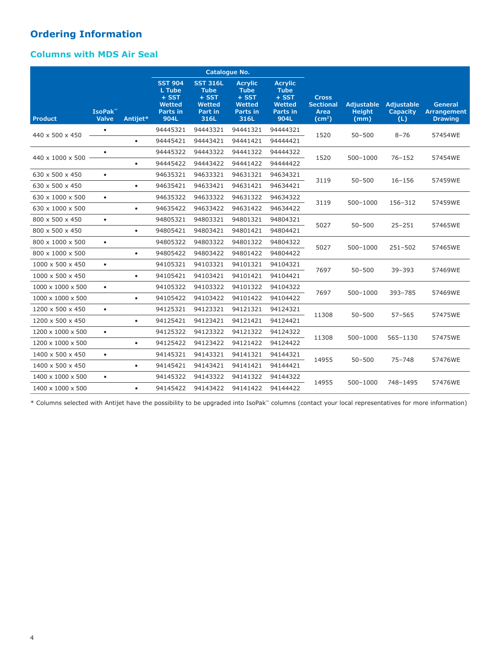# **Ordering Information**

# **Columns with MDS Air Seal**

|                               |                              |           |                                                                          |                                                                        | Catalogue No.                                                          |                                                                        |                                                                |                                            |                                             |                                                 |
|-------------------------------|------------------------------|-----------|--------------------------------------------------------------------------|------------------------------------------------------------------------|------------------------------------------------------------------------|------------------------------------------------------------------------|----------------------------------------------------------------|--------------------------------------------|---------------------------------------------|-------------------------------------------------|
| <b>Product</b>                | IsoPak <sup>™</sup><br>Valve | Antijet*  | <b>SST 904</b><br>L Tube<br>$+$ SST<br><b>Wetted</b><br>Parts in<br>904L | <b>SST 316L</b><br><b>Tube</b><br>$+$ SST<br>Wetted<br>Part in<br>316L | <b>Acrylic</b><br><b>Tube</b><br>$+$ SST<br>Wetted<br>Parts in<br>316L | <b>Acrylic</b><br><b>Tube</b><br>$+$ SST<br>Wetted<br>Parts in<br>904L | <b>Cross</b><br><b>Sectional</b><br>Area<br>(cm <sup>2</sup> ) | <b>Adjustable</b><br><b>Height</b><br>(mm) | <b>Adjustable</b><br><b>Capacity</b><br>(L) | <b>General</b><br>Arrangement<br><b>Drawing</b> |
| 440 x 500 x 450               | ٠                            |           | 94445321                                                                 | 94443321                                                               | 94441321                                                               | 94444321                                                               | 1520                                                           | $50 - 500$                                 | $8 - 76$                                    | 57454WE                                         |
|                               |                              | $\bullet$ | 94445421                                                                 | 94443421                                                               | 94441421                                                               | 94444421                                                               |                                                                |                                            |                                             |                                                 |
| 440 x 1000 x 500              | $\bullet$                    |           | 94445322                                                                 | 94443322                                                               | 94441322                                                               | 94444322                                                               | 1520                                                           | $500 - 1000$                               | $76 - 152$                                  | 57454WE                                         |
|                               |                              | $\bullet$ | 94445422                                                                 | 94443422                                                               | 94441422                                                               | 94444422                                                               |                                                                |                                            |                                             |                                                 |
| 630 x 500 x 450               | $\bullet$                    |           | 94635321                                                                 | 94633321                                                               | 94631321                                                               | 94634321                                                               | 3119                                                           | $50 - 500$                                 | $16 - 156$                                  | 57459WE                                         |
| 630 x 500 x 450               |                              | $\bullet$ | 94635421                                                                 | 94633421                                                               | 94631421                                                               | 94634421                                                               |                                                                |                                            |                                             |                                                 |
| 630 x 1000 x 500              | $\bullet$                    |           | 94635322                                                                 | 94633322                                                               | 94631322                                                               | 94634322                                                               | 3119                                                           | 500-1000                                   | 156-312                                     | 57459WE                                         |
| 630 x 1000 x 500              |                              | $\bullet$ | 94635422                                                                 | 94633422                                                               | 94631422                                                               | 94634422                                                               |                                                                |                                            |                                             |                                                 |
| 800 x 500 x 450               | $\bullet$                    |           | 94805321                                                                 | 94803321                                                               | 94801321                                                               | 94804321                                                               | 5027                                                           | $50 - 500$                                 | $25 - 251$                                  | 57465WE                                         |
| 800 x 500 x 450               |                              | $\bullet$ | 94805421                                                                 | 94803421                                                               | 94801421                                                               | 94804421                                                               |                                                                |                                            |                                             |                                                 |
| 800 x 1000 x 500              | $\bullet$                    |           | 94805322                                                                 | 94803322                                                               | 94801322                                                               | 94804322                                                               | 5027                                                           | 500-1000                                   | $251 - 502$                                 | 57465WE                                         |
| 800 x 1000 x 500              |                              | $\bullet$ | 94805422                                                                 | 94803422                                                               | 94801422                                                               | 94804422                                                               |                                                                |                                            |                                             |                                                 |
| $1000 \times 500 \times 450$  | $\bullet$                    |           | 94105321                                                                 | 94103321                                                               | 94101321                                                               | 94104321                                                               | 7697                                                           | $50 - 500$                                 | $39 - 393$                                  | 57469WE                                         |
| 1000 x 500 x 450              |                              | $\bullet$ | 94105421                                                                 | 94103421                                                               | 94101421                                                               | 94104421                                                               |                                                                |                                            |                                             |                                                 |
| $1000 \times 1000 \times 500$ | $\bullet$                    |           | 94105322                                                                 | 94103322                                                               | 94101322                                                               | 94104322                                                               | 7697                                                           | $500 - 1000$                               | 393-785                                     | 57469WE                                         |
| $1000 \times 1000 \times 500$ |                              | $\bullet$ | 94105422                                                                 | 94103422                                                               | 94101422                                                               | 94104422                                                               |                                                                |                                            |                                             |                                                 |
| 1200 x 500 x 450              | $\bullet$                    |           | 94125321                                                                 | 94123321                                                               | 94121321                                                               | 94124321                                                               | 11308                                                          | $50 - 500$                                 | $57 - 565$                                  | 57475WE                                         |
| 1200 x 500 x 450              |                              | $\bullet$ | 94125421                                                                 | 94123421                                                               | 94121421                                                               | 94124421                                                               |                                                                |                                            |                                             |                                                 |
| 1200 x 1000 x 500             | $\bullet$                    |           | 94125322                                                                 | 94123322                                                               | 94121322                                                               | 94124322                                                               | 11308                                                          | 500-1000                                   | 565-1130                                    | 57475WE                                         |
| 1200 x 1000 x 500             |                              | $\bullet$ | 94125422                                                                 | 94123422                                                               | 94121422                                                               | 94124422                                                               |                                                                |                                            |                                             |                                                 |
| 1400 x 500 x 450              | $\bullet$                    |           | 94145321                                                                 | 94143321                                                               | 94141321                                                               | 94144321                                                               | 14955                                                          | $50 - 500$                                 | $75 - 748$                                  | 57476WE                                         |
| 1400 x 500 x 450              |                              | $\bullet$ | 94145421                                                                 | 94143421                                                               | 94141421                                                               | 94144421                                                               |                                                                |                                            |                                             |                                                 |
| $1400 \times 1000 \times 500$ | $\bullet$                    |           | 94145322                                                                 | 94143322                                                               | 94141322                                                               | 94144322                                                               |                                                                |                                            |                                             |                                                 |
| 1400 x 1000 x 500             |                              | $\bullet$ | 94145422                                                                 | 94143422                                                               | 94141422                                                               | 94144422                                                               | 14955                                                          | 500-1000                                   | 748-1495                                    | 57476WE                                         |

\* Columns selected with Antijet have the possibility to be upgraded into IsoPak™ columns (contact your local representatives for more information)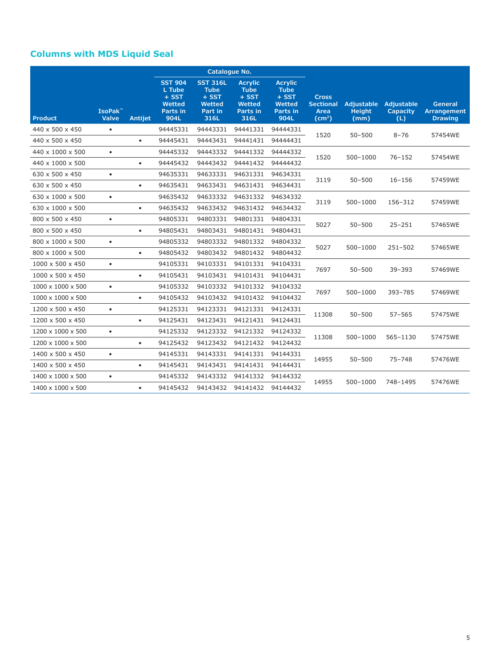# **Columns with MDS Liquid Seal**

|                               |                                     |           |                                                                   | Catalogue No.                                                          |                                                                        |                                                                        |                                                                |                                            |                                      |                                                 |
|-------------------------------|-------------------------------------|-----------|-------------------------------------------------------------------|------------------------------------------------------------------------|------------------------------------------------------------------------|------------------------------------------------------------------------|----------------------------------------------------------------|--------------------------------------------|--------------------------------------|-------------------------------------------------|
| <b>Product</b>                | IsoPak <sup>™</sup><br><b>Valve</b> | Antijet   | <b>SST 904</b><br>L Tube<br>$+$ SST<br>Wetted<br>Parts in<br>904L | <b>SST 316L</b><br><b>Tube</b><br>$+$ SST<br>Wetted<br>Part in<br>316L | <b>Acrylic</b><br><b>Tube</b><br>$+$ SST<br>Wetted<br>Parts in<br>316L | <b>Acrylic</b><br><b>Tube</b><br>$+$ SST<br>Wetted<br>Parts in<br>904L | <b>Cross</b><br><b>Sectional</b><br>Area<br>(cm <sup>2</sup> ) | <b>Adjustable</b><br><b>Height</b><br>(mm) | <b>Adjustable</b><br>Capacity<br>(L) | <b>General</b><br>Arrangement<br><b>Drawing</b> |
| 440 x 500 x 450               | $\bullet$                           |           | 94445331                                                          | 94443331                                                               | 94441331                                                               | 94444331                                                               | 1520                                                           | $50 - 500$                                 | $8 - 76$                             |                                                 |
| 440 x 500 x 450               |                                     | $\bullet$ | 94445431                                                          | 94443431                                                               | 94441431                                                               | 94444431                                                               |                                                                |                                            |                                      | 57454WE                                         |
| 440 x 1000 x 500              | $\bullet$                           |           | 94445332                                                          | 94443332                                                               | 94441332                                                               | 94444332                                                               | 1520                                                           | 500-1000                                   | $76 - 152$                           | 57454WE                                         |
| 440 x 1000 x 500              |                                     | $\bullet$ | 94445432                                                          | 94443432                                                               | 94441432                                                               | 94444432                                                               |                                                                |                                            |                                      |                                                 |
| 630 x 500 x 450               | $\bullet$                           |           | 94635331                                                          | 94633331                                                               | 94631331                                                               | 94634331                                                               | 3119                                                           | $50 - 500$                                 | $16 - 156$                           | 57459WE                                         |
| 630 x 500 x 450               |                                     | $\bullet$ | 94635431                                                          | 94633431                                                               | 94631431                                                               | 94634431                                                               |                                                                |                                            |                                      |                                                 |
| 630 x 1000 x 500              | $\bullet$                           |           | 94635432                                                          | 94633332                                                               | 94631332                                                               | 94634332                                                               | 3119                                                           | 500-1000                                   | 156-312                              | 57459WE                                         |
| 630 x 1000 x 500              |                                     | $\bullet$ | 94635432                                                          | 94633432                                                               | 94631432                                                               | 94634432                                                               |                                                                |                                            |                                      |                                                 |
| 800 x 500 x 450               | $\bullet$                           |           | 94805331                                                          | 94803331                                                               | 94801331                                                               | 94804331                                                               | 5027                                                           | $50 - 500$                                 | $25 - 251$                           | 57465WE                                         |
| 800 x 500 x 450               |                                     | $\bullet$ | 94805431                                                          | 94803431                                                               | 94801431                                                               | 94804431                                                               |                                                                |                                            |                                      |                                                 |
| 800 x 1000 x 500              | $\bullet$                           |           | 94805332                                                          | 94803332                                                               | 94801332                                                               | 94804332                                                               | 5027                                                           | 500-1000                                   | $251 - 502$                          | 57465WE                                         |
| 800 x 1000 x 500              |                                     | $\bullet$ | 94805432                                                          | 94803432                                                               | 94801432                                                               | 94804432                                                               |                                                                |                                            |                                      |                                                 |
| $1000 \times 500 \times 450$  | $\bullet$                           |           | 94105331                                                          | 94103331                                                               | 94101331                                                               | 94104331                                                               | 7697                                                           | $50 - 500$                                 | $39 - 393$                           | 57469WE                                         |
| 1000 x 500 x 450              |                                     | $\bullet$ | 94105431                                                          | 94103431                                                               | 94101431                                                               | 94104431                                                               |                                                                |                                            |                                      |                                                 |
| $1000 \times 1000 \times 500$ | $\bullet$                           |           | 94105332                                                          | 94103332                                                               | 94101332                                                               | 94104332                                                               | 7697                                                           | 500-1000                                   | 393-785                              | 57469WE                                         |
| $1000 \times 1000 \times 500$ |                                     | $\bullet$ | 94105432                                                          | 94103432                                                               | 94101432                                                               | 94104432                                                               |                                                                |                                            |                                      |                                                 |
| 1200 x 500 x 450              | $\bullet$                           |           | 94125331                                                          | 94123331                                                               | 94121331                                                               | 94124331                                                               | 11308                                                          | $50 - 500$                                 | $57 - 565$                           | 57475WE                                         |
| 1200 x 500 x 450              |                                     | $\bullet$ | 94125431                                                          | 94123431                                                               | 94121431                                                               | 94124431                                                               |                                                                |                                            |                                      |                                                 |
| 1200 x 1000 x 500             | $\bullet$                           |           | 94125332                                                          | 94123332                                                               | 94121332                                                               | 94124332                                                               | 11308                                                          | 500-1000                                   | 565-1130                             | 57475WE                                         |
| 1200 x 1000 x 500             |                                     | $\bullet$ | 94125432                                                          | 94123432                                                               | 94121432                                                               | 94124432                                                               |                                                                |                                            |                                      |                                                 |
| 1400 x 500 x 450              | $\bullet$                           |           | 94145331                                                          | 94143331                                                               | 94141331                                                               | 94144331                                                               | 14955                                                          | $50 - 500$                                 | $75 - 748$                           | 57476WE                                         |
| 1400 x 500 x 450              |                                     | $\bullet$ | 94145431                                                          | 94143431                                                               | 94141431                                                               | 94144431                                                               |                                                                |                                            |                                      |                                                 |
| 1400 x 1000 x 500             | $\bullet$                           |           | 94145332                                                          | 94143332                                                               | 94141332                                                               | 94144332                                                               | 14955                                                          | 500-1000                                   | 748-1495                             | 57476WE                                         |
| 1400 x 1000 x 500             |                                     | $\bullet$ | 94145432                                                          | 94143432                                                               | 94141432                                                               | 94144432                                                               |                                                                |                                            |                                      |                                                 |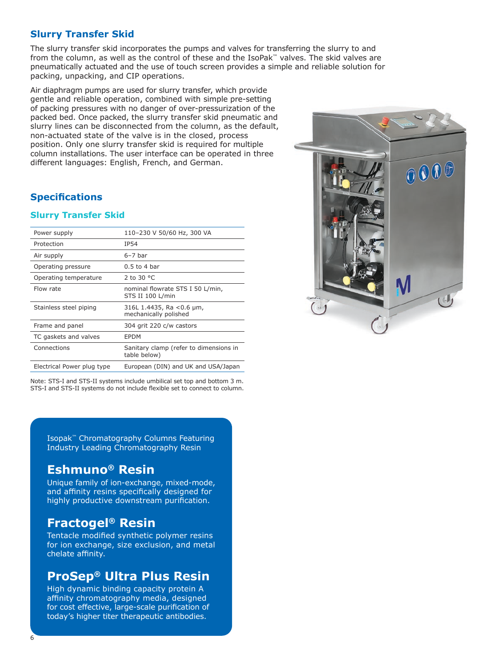# **Slurry Transfer Skid**

The slurry transfer skid incorporates the pumps and valves for transferring the slurry to and from the column, as well as the control of these and the IsoPak™ valves. The skid valves are pneumatically actuated and the use of touch screen provides a simple and reliable solution for packing, unpacking, and CIP operations.

Air diaphragm pumps are used for slurry transfer, which provide gentle and reliable operation, combined with simple pre-setting of packing pressures with no danger of over-pressurization of the packed bed. Once packed, the slurry transfer skid pneumatic and slurry lines can be disconnected from the column, as the default, non-actuated state of the valve is in the closed, process position. Only one slurry transfer skid is required for multiple column installations. The user interface can be operated in three different languages: English, French, and German.

#### **Specifications**

#### **Slurry Transfer Skid**

| Power supply               | 110-230 V 50/60 Hz, 300 VA                              |
|----------------------------|---------------------------------------------------------|
| Protection                 | IP54                                                    |
| Air supply                 | $6-7$ bar                                               |
| Operating pressure         | $0.5$ to 4 bar                                          |
| Operating temperature      | 2 to 30 $^{\circ}$ C                                    |
| Flow rate                  | nominal flowrate STS I 50 L/min,<br>STS II 100 L/min    |
| Stainless steel piping     | 316L 1.4435, Ra < 0.6 $\mu$ m,<br>mechanically polished |
| Frame and panel            | 304 grit 220 c/w castors                                |
| TC gaskets and valves      | EPDM                                                    |
| Connections                | Sanitary clamp (refer to dimensions in<br>table below)  |
| Electrical Power plug type | European (DIN) and UK and USA/Japan                     |

Note: STS-I and STS-II systems include umbilical set top and bottom 3 m. STS-I and STS-II systems do not include flexible set to connect to column.

Isopak™ Chromatography Columns Featuring Industry Leading Chromatography Resin

# **Eshmuno® Resin**

Unique family of ion-exchange, mixed-mode, and affinity resins specifically designed for highly productive downstream purification.

# **Fractogel® Resin**

Tentacle modified synthetic polymer resins for ion exchange, size exclusion, and metal chelate affinity.

# **ProSep® Ultra Plus Resin**

High dynamic binding capacity protein A affinity chromatography media, designed for cost effective, large-scale purification of today's higher titer therapeutic antibodies.

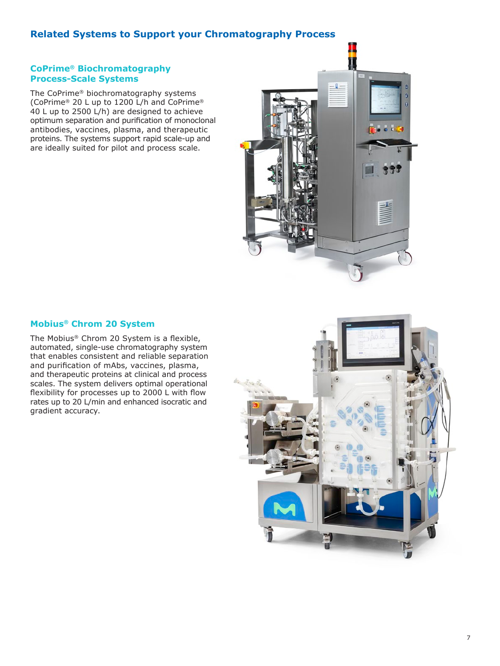# **Related Systems to Support your Chromatography Process**

#### **CoPrime® Biochromatography Process-Scale Systems**

The CoPrime® biochromatography systems (CoPrime® 20 L up to 1200 L/h and CoPrime® 40 L up to 2500 L/h) are designed to achieve optimum separation and purification of monoclonal antibodies, vaccines, plasma, and therapeutic proteins. The systems support rapid scale-up and are ideally suited for pilot and process scale.



#### **Mobius® Chrom 20 System**

The Mobius® Chrom 20 System is a flexible, automated, single-use chromatography system that enables consistent and reliable separation and purification of mAbs, vaccines, plasma, and therapeutic proteins at clinical and process scales. The system delivers optimal operational flexibility for processes up to 2000 L with flow rates up to 20 L/min and enhanced isocratic and gradient accuracy.

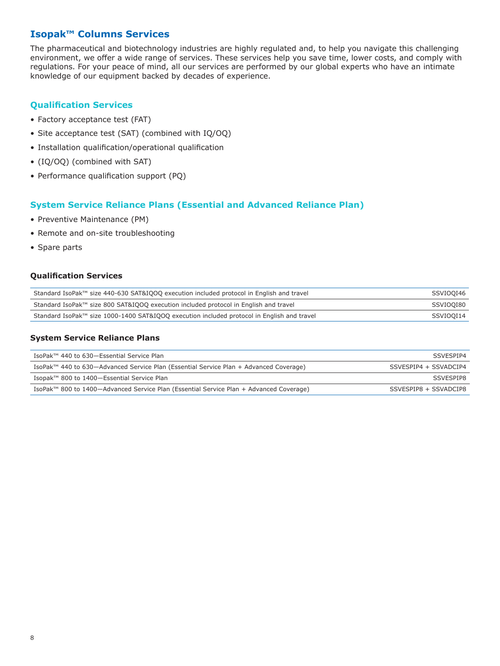# **Isopak™ Columns Services**

The pharmaceutical and biotechnology industries are highly regulated and, to help you navigate this challenging environment, we offer a wide range of services. These services help you save time, lower costs, and comply with regulations. For your peace of mind, all our services are performed by our global experts who have an intimate knowledge of our equipment backed by decades of experience.

# **Qualification Services**

- Factory acceptance test (FAT)
- Site acceptance test (SAT) (combined with IQ/OQ)
- Installation qualification/operational qualification
- (IQ/OQ) (combined with SAT)
- Performance qualification support (PQ)

#### **System Service Reliance Plans (Essential and Advanced Reliance Plan)**

- Preventive Maintenance (PM)
- Remote and on-site troubleshooting
- Spare parts

#### **Qualification Services**

| Standard IsoPak™ size 440-630 SAT&IQOQ execution included protocol in English and travel   | SSVIOOI46 |
|--------------------------------------------------------------------------------------------|-----------|
| Standard IsoPak™ size 800 SAT&IQOQ execution included protocol in English and travel       | SSVIOOI80 |
| Standard IsoPak™ size 1000-1400 SAT&IOOO execution included protocol in English and travel | SSVIOOI14 |

#### **System Service Reliance Plans**

| IsoPak™ 440 to 630-Essential Service Plan                                              | SSVESPIP4             |
|----------------------------------------------------------------------------------------|-----------------------|
| IsoPak™ 440 to 630-Advanced Service Plan (Essential Service Plan + Advanced Coverage)  | SSVESPIP4 + SSVADCIP4 |
| Isopak™ 800 to 1400-Essential Service Plan                                             | SSVESPIP8             |
| IsoPak™ 800 to 1400—Advanced Service Plan (Essential Service Plan + Advanced Coverage) | SSVESPIP8 + SSVADCIP8 |